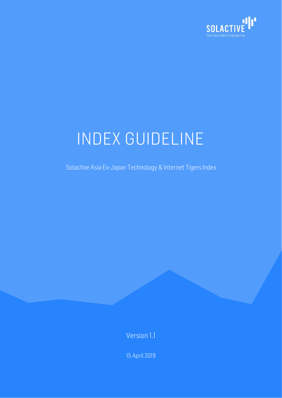

Solactive Asia Ex-Japan Technology & Internet Tigers Index

Version 1.1

15 April 2019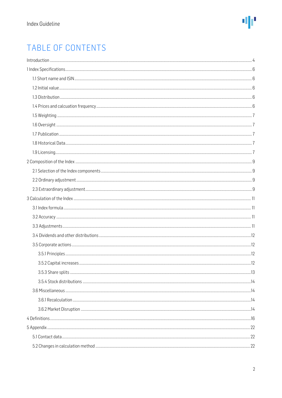### TABLE OF CONTENTS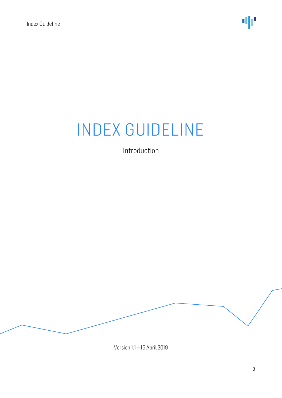Introduction

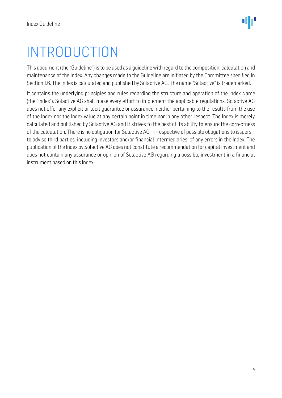## <span id="page-3-0"></span>INTRODUCTION

This document (the "Guideline") is to be used as a guideline with regard to the composition, calculation and maintenance of the Index. Any changes made to the Guideline are initiated by the Committee specified in Section 1.6. The Index is calculated and published by Solactive AG. The name "Solactive" is trademarked.

It contains the underlying principles and rules regarding the structure and operation of the Index Name (the "Index"). Solactive AG shall make every effort to implement the applicable regulations. Solactive AG does not offer any explicit or tacit guarantee or assurance, neither pertaining to the results from the use of the Index nor the Index value at any certain point in time nor in any other respect. The Index is merely calculated and published by Solactive AG and it strives to the best of its ability to ensure the correctness of the calculation. There is no obligation for Solactive AG – irrespective of possible obligations to issuers – to advise third parties, including investors and/or financial intermediaries, of any errors in the Index. The publication of the Index by Solactive AG does not constitute a recommendation for capital investment and does not contain any assurance or opinion of Solactive AG regarding a possible investment in a financial instrument based on this Index.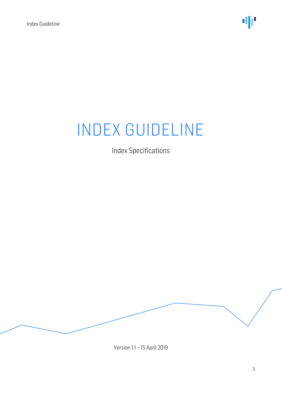Index Specifications

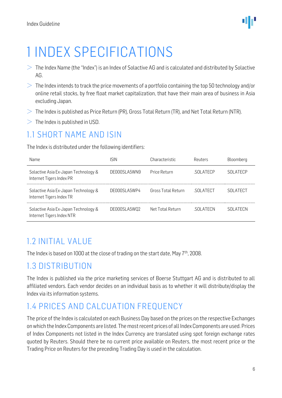

## <span id="page-5-0"></span>1 INDEX SPECIFICATIONS

- $>$  The Index Name (the "Index") is an Index of Solactive AG and is calculated and distributed by Solactive AG.
- $>$  The Index intends to track the price movements of a portfolio containing the top 50 technology and/or online retail stocks, by free float market capitalization, that have their main area of business in Asia excluding Japan.
- $>$  The Index is published as Price Return (PR), Gross Total Return (TR), and Net Total Return (NTR).
- $>$  The Index is published in USD.

#### <span id="page-5-1"></span>1.1 SHORT NAME AND ISIN

The Index is distributed under the following identifiers:

| Name                                                              | <b>ISIN</b>   | Characteristic            | Reuters         | Bloomberg       |
|-------------------------------------------------------------------|---------------|---------------------------|-----------------|-----------------|
| Solactive Asia Ex-Japan Technology &<br>Internet Tigers Index PR  | DE000SLA5WN9  | Price Return              | <b>SOLATECP</b> | SOLATECP        |
| Solactive Asia Ex-Japan Technology &<br>Internet Tigers Index TR  | DENNOSI A5WP4 | <b>Gross Total Return</b> | .SOLATECT       | <b>SOLATECT</b> |
| Solactive Asia Ex-Japan Technology &<br>Internet Tigers Index NTR | DE000SLA5W02  | Net Total Return          | .SOLATECN       | <b>SOLATECN</b> |

### <span id="page-5-2"></span>1.2 INITIAL VALUE

The Index is based on 1000 at the close of trading on the start date, May 7<sup>th</sup>, 2008.

#### <span id="page-5-3"></span>1.3 DISTRIBUTION

The Index is published via the price marketing services of Boerse Stuttgart AG and is distributed to all affiliated vendors. Each vendor decides on an individual basis as to whether it will distribute/display the Index via its information systems.

#### <span id="page-5-4"></span>1.4 PRICES AND CALCUATION FREQUENCY

The price of the Index is calculated on each Business Day based on the prices on the respective Exchanges on which the Index Components are listed. The most recent prices of all Index Components are used. Prices of Index Components not listed in the Index Currency are translated using spot foreign exchange rates quoted by Reuters. Should there be no current price available on Reuters, the most recent price or the Trading Price on Reuters for the preceding Trading Day is used in the calculation.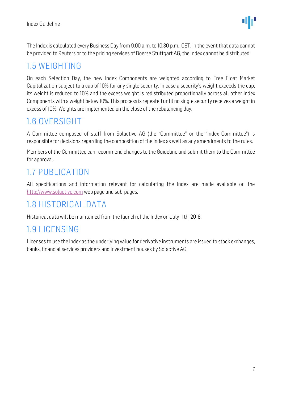The Index is calculated every Business Day from 9:00 a.m. to 10:30 p.m., CET. In the event that data cannot be provided to Reuters or to the pricing services of Boerse Stuttgart AG, the Index cannot be distributed.

#### <span id="page-6-0"></span>1.5 WEIGHTING

On each Selection Day, the new Index Components are weighted according to Free Float Market Capitalization subject to a cap of 10% for any single security. In case a security's weight exceeds the cap, its weight is reduced to 10% and the excess weight is redistributed proportionally across all other Index Components with a weight below 10%. This process is repeated until no single security receives a weight in excess of 10%. Weights are implemented on the close of the rebalancing day.

#### <span id="page-6-1"></span>1.6 OVERSIGHT

A Committee composed of staff from Solactive AG (the "Committee" or the "Index Committee") is responsible for decisions regarding the composition of the Index as well as any amendments to the rules.

Members of the Committee can recommend changes to the Guideline and submit them to the Committee for approval.

### <span id="page-6-2"></span>1.7 PUBLICATION

All specifications and information relevant for calculating the Index are made available on the [http://www.solactive.com](http://www.solactive.com/) web page and sub-pages.

### <span id="page-6-3"></span>1.8 HISTORICAL DATA

Historical data will be maintained from the launch of the Index on July 11th, 2018.

### <span id="page-6-4"></span>1.9 LICENSING

Licenses to use the Index as the underlying value for derivative instruments are issued to stock exchanges, banks, financial services providers and investment houses by Solactive AG.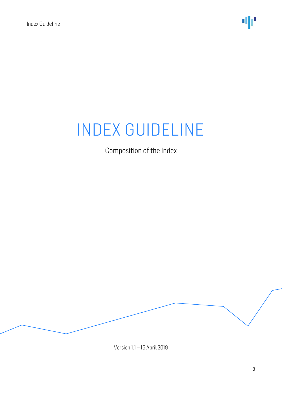Composition of the Index

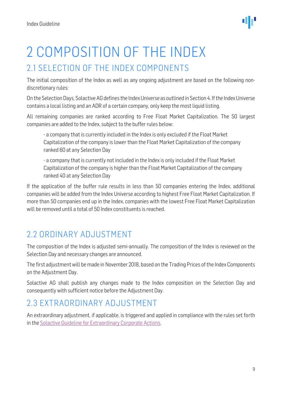

## <span id="page-8-0"></span>2 COMPOSITION OF THE INDEX

#### <span id="page-8-1"></span>2.1 SELECTION OF THE INDEX COMPONENTS

The initial composition of the Index as well as any ongoing adjustment are based on the following nondiscretionary rules:

On the Selection Days, Solactive AG defines the Index Universe as outlined in Section 4. If the Index Universe contains a local listing and an ADR of a certain company, only keep the most liquid listing.

All remaining companies are ranked according to Free Float Market Capitalization. The 50 largest companies are added to the Index, subject to the buffer rules below:

- a company that is currently included in the Index is only excluded if the Float Market Capitalization of the company is lower than the Float Market Capitalization of the company ranked 60 at any Selection Day

- a company that is currently not included in the Index is only included if the Float Market Capitalization of the company is higher than the Float Market Capitalization of the company ranked 40 at any Selection Day

If the application of the buffer rule results in less than 50 companies entering the Index, additional companies will be added from the Index Universe according to highest Free Float Market Capitalization. If more than 50 companies end up in the Index, companies with the lowest Free Float Market Capitalization will be removed until a total of 50 Index constituents is reached.

### <span id="page-8-2"></span>2.2 ORDINARY ADJUSTMENT

The composition of the Index is adjusted semi-annually. The composition of the Index is reviewed on the Selection Day and necessary changes are announced.

The first adjustment will be made in November 2018, based on the Trading Prices of the Index Components on the Adjustment Day.

Solactive AG shall publish any changes made to the Index composition on the Selection Day and consequently with sufficient notice before the Adjustment Day.

### <span id="page-8-3"></span>2.3 EXTRAORDINARY ADJUSTMENT

An extraordinary adjustment, if applicable, is triggered and applied in compliance with the rules set forth in th[e Solactive Guideline for Extraordinary Corporate Actions.](http://www.solactive.com/news/documents/)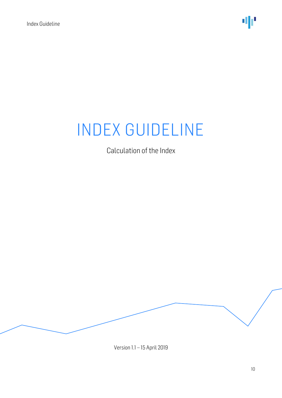Calculation of the Index

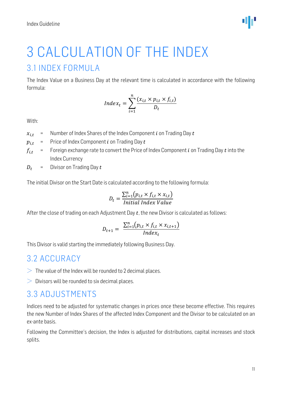

# <span id="page-10-0"></span>3 CALCULATION OF THE INDEX

#### <span id="page-10-1"></span>3.1 INDEX FORMULA

The Index Value on a Business Day at the relevant time is calculated in accordance with the following formula:

$$
Index_t = \sum_{i=1}^{n} \frac{(x_{i,t} \times p_{i,t} \times f_{i,t})}{D_t}
$$

With:

 $x_{i,t}$  = Number of Index Shares of the Index Component *i* on Trading Day *t* 

 $p_{i,t}$  = Price of Index Component *i* on Trading Day *t* 

- $f_{i,t}$  = Foreign exchange rate to convert the Price of Index Component *i* on Trading Day *t* into the Index Currency
- $D_t$  = Divisor on Trading Day  $t$

The initial Divisor on the Start Date is calculated according to the following formula:

$$
D_t = \frac{\sum_{i=1}^{n} (p_{i,t} \times f_{i,t} \times x_{i,t})}{Initial Index Value}
$$

After the close of trading on each Adjustment Day  $t$ , the new Divisor is calculated as follows:

$$
D_{t+1} = \frac{\sum_{i=1}^{n} (p_{i,t} \times f_{i,t} \times x_{i,t+1})}{Index_t}
$$

This Divisor is valid starting the immediately following Business Day.

#### <span id="page-10-2"></span>3.2 ACCURACY

- $>$  The value of the Index will be rounded to 2 decimal places.
- $\geq 0$  Divisors will be rounded to six decimal places.

#### <span id="page-10-3"></span>3.3 ADJUSTMENTS

Indices need to be adjusted for systematic changes in prices once these become effective. This requires the new Number of Index Shares of the affected Index Component and the Divisor to be calculated on an ex-ante basis.

Following the Committee's decision, the Index is adjusted for distributions, capital increases and stock splits.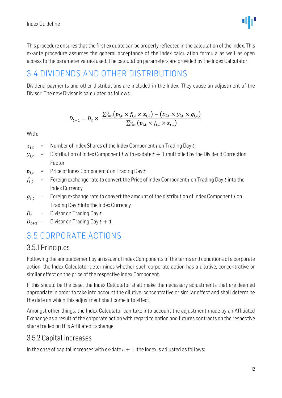

This procedure ensures that the first ex quote can be properly reflected in the calculation of the Index. This ex-ante procedure assumes the general acceptance of the Index calculation formula as well as open access to the parameter values used. The calculation parameters are provided by the Index Calculator.

#### <span id="page-11-0"></span>3.4 DIVIDENDS AND OTHER DISTRIBUTIONS

Dividend payments and other distributions are included in the Index. They cause an adjustment of the Divisor. The new Divisor is calculated as follows:

$$
D_{t+1} = D_t \times \frac{\sum_{i=1}^{n} (p_{i,t} \times f_{i,t} \times x_{i,t}) - (x_{i,t} \times y_{i,t} \times g_{i,t})}{\sum_{i=1}^{n} (p_{i,t} \times f_{i,t} \times x_{i,t})}
$$

With:

- $x_{i,t}$  = Number of Index Shares of the Index Component *i* on Trading Day *t*
- $y_{i,t}$  = Distribution of Index Component *i* with ex-date  $t + 1$  multiplied by the Dividend Correction Factor
- $p_{i,t}$  = Price of Index Component *i* on Trading Day *t*
- $f_{i,t}$  = Foreign exchange rate to convert the Price of Index Component *i* on Trading Day *t* into the Index Currency
- $g_{i,t}$  = Foreign exchange rate to convert the amount of the distribution of Index Component *i* on Trading Day  $t$  into the Index Currency
- $D_t$  = Divisor on Trading Day t
- $D_{t+1}$  = Divisor on Trading Day  $t + 1$

### <span id="page-11-1"></span>3.5 CORPORATE ACTIONS

#### <span id="page-11-2"></span>3.5.1 Principles

Following the announcement by an issuer of Index Components of the terms and conditions of a corporate action, the Index Calculator determines whether such corporate action has a dilutive, concentrative or similar effect on the price of the respective Index Component.

If this should be the case, the Index Calculator shall make the necessary adjustments that are deemed appropriate in order to take into account the dilutive, concentrative or similar effect and shall determine the date on which this adjustment shall come into effect.

Amongst other things, the Index Calculator can take into account the adjustment made by an Affiliated Exchange as a result of the corporate action with regard to option and futures contracts on the respective share traded on this Affiliated Exchange.

#### <span id="page-11-3"></span>3.5.2 Capital increases

In the case of capital increases with ex-date  $t + 1$ , the Index is adjusted as follows: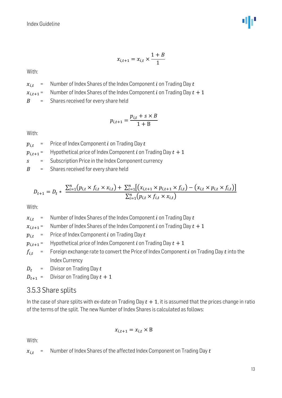

$$
x_{i,t+1} = x_{i,t} \times \frac{1+B}{1}
$$

With:

 $x_{i,t}$  = Number of Index Shares of the Index Component *i* on Trading Day *t* 

 $x_{i,t+1}$  = Number of Index Shares of the Index Component *i* on Trading Day  $t + 1$ 

 $B =$  Shares received for every share held

$$
p_{i,t+1} = \frac{p_{i,t} + s \times B}{1 + B}
$$

With:

 $p_{i,t}$  = Price of Index Component *i* on Trading Day *t* 

 $p_{i,t+1}$  = Hypothetical price of Index Component *i* on Trading Day  $t + 1$ 

 $s =$  Subscription Price in the Index Component currency

 $B =$  Shares received for every share held

$$
D_{t+1} = D_t * \frac{\sum_{i=1}^{n} (p_{i,t} \times f_{i,t} \times x_{i,t}) + \sum_{i=1}^{n} [(x_{i,t+1} \times p_{i,t+1} \times f_{i,t}) - (x_{i,t} \times p_{i,t} \times f_{i,t})]}{\sum_{i=1}^{n} (p_{i,t} \times f_{i,t} \times x_{i,t})}
$$

With:

 $x_{i,t}$  = Number of Index Shares of the Index Component *i* on Trading Day *t* 

 $x_{i,t+1}$  = Number of Index Shares of the Index Component *i* on Trading Day  $t + 1$ 

 $p_{i,t}$  = Price of Index Component *i* on Trading Day *t* 

 $p_{i,t+1}$  = Hypothetical price of Index Component *i* on Trading Day  $t + 1$ 

 $f_{i,t}$  = Foreign exchange rate to convert the Price of Index Component *i* on Trading Day *t* into the Index Currency

 $D_t$  = Divisor on Trading Day  $t$ 

 $D_{t+1}$  = Divisor on Trading Day  $t + 1$ 

#### <span id="page-12-0"></span>3.5.3 Share splits

In the case of share splits with ex-date on Trading Day  $t + 1$ , it is assumed that the prices change in ratio of the terms of the split. The new Number of Index Shares is calculated as follows:

$$
x_{i,t+1} = x_{i,t} \times B
$$

With:

 $x_{i,t}$  = Number of Index Shares of the affected Index Component on Trading Day t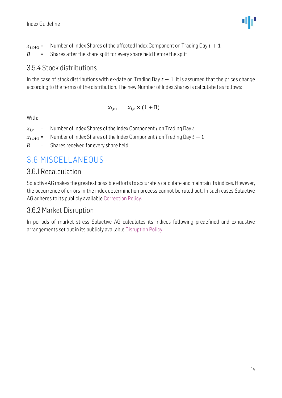$x_{i,t+1}$  = Number of Index Shares of the affected Index Component on Trading Day  $t + 1$  $B =$  Shares after the share split for every share held before the split

#### <span id="page-13-0"></span>3.5.4 Stock distributions

In the case of stock distributions with ex-date on Trading Day  $t + 1$ , it is assumed that the prices change according to the terms of the distribution. The new Number of Index Shares is calculated as follows:

$$
x_{i,t+1} = x_{i,t} \times (1 + B)
$$

With:

- $x_{i,t+1}$  = Number of Index Shares of the Index Component *i* on Trading Day  $t + 1$
- $B =$  Shares received for every share held

### <span id="page-13-1"></span>3.6 MISCELLANEOUS

#### <span id="page-13-2"></span>3.6.1 Recalculation

Solactive AG makes the greatest possible efforts to accurately calculate and maintain its indices. However, the occurrence of errors in the index determination process cannot be ruled out. In such cases Solactive AG adheres to its publicly available [Correction Policy.](http://www.solactive.com/news/documents/)

#### <span id="page-13-3"></span>3.6.2 Market Disruption

In periods of market stress Solactive AG calculates its indices following predefined and exhaustive arrangements set out in its publicly available [Disruption Policy.](http://www.solactive.com/news/documents/)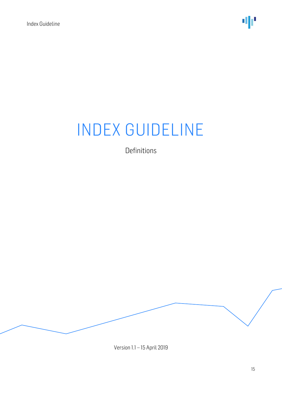Definitions

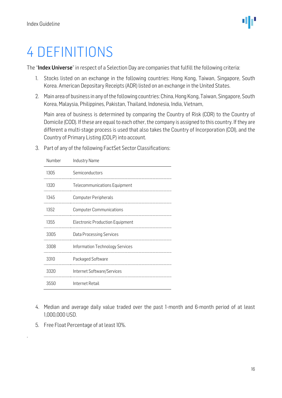## <span id="page-15-0"></span>4 DEFINITIONS

The "Index Universe" in respect of a Selection Day are companies that fulfill the following criteria:

- 1. Stocks listed on an exchange in the following countries: Hong Kong, Taiwan, Singapore, South Korea. American Depositary Receipts (ADR) listed on an exchange in the United States.
- 2. Main area of business in any of the following countries: China, Hong Kong, Taiwan, Singapore, South Korea, Malaysia, Philippines, Pakistan, Thailand, Indonesia, India, Vietnam,

Main area of business is determined by comparing the Country of Risk (COR) to the Country of Domicile (COD). If these are equal to each other, the company is assigned to this country. If they are different a multi-stage process is used that also takes the Country of Incorporation (COI), and the Country of Primary Listing (COLP) into account.

| Number | Industry Name                          |
|--------|----------------------------------------|
| 1305   | Semiconductors                         |
| 1320   | Telecommunications Equipment           |
| 1345   | Computer Peripherals                   |
| 1352   | <b>Computer Communications</b>         |
| 1355   | <b>Electronic Production Equipment</b> |
| 3305   | <b>Data Processing Services</b>        |
| 3308   | Information Technology Services        |
| 3310   | Packaged Software                      |
| 3320   | Internet Software/Services             |
| 3550   | Internet Retail                        |

3. Part of any of the following FactSet Sector Classifications:

- 4. Median and average daily value traded over the past 1-month and 6-month period of at least 1,000,000 USD.
- 5. Free Float Percentage of at least 10%.

.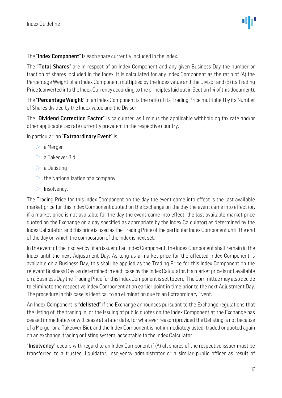The "Index Component" is each share currently included in the Index.

The "Total Shares" are in respect of an Index Component and any given Business Day the number or fraction of shares included in the Index. It is calculated for any Index Component as the ratio of (A) the Percentage Weight of an Index Component multiplied by the Index value and the Divisor and (B) its Trading Price (converted into the Index Currency according to the principles laid out in Section 1.4 of this document).

The "Percentage Weight" of an Index Component is the ratio of its Trading Price multiplied by its Number of Shares divided by the Index value and the Divisor.

The "Dividend Correction Factor" is calculated as 1 minus the applicable withholding tax rate and/or other applicable tax rate currently prevalent in the respective country.

In particular, an "Extraordinary Event" is

- $> a$  Merger
- $> a$  Takeover Bid
- $>$  a Delisting
- $\geq$  the Nationalization of a company
- $>$  Insolvency.

The Trading Price for this Index Component on the day the event came into effect is the last available market price for this Index Component quoted on the Exchange on the day the event came into effect (or, if a market price is not available for the day the event came into effect, the last available market price quoted on the Exchange on a day specified as appropriate by the Index Calculator) as determined by the Index Calculator, and this price is used as the Trading Price of the particular Index Component until the end of the day on which the composition of the Index is next set.

In the event of the Insolvency of an issuer of an Index Component, the Index Component shall remain in the Index until the next Adjustment Day. As long as a market price for the affected Index Component is available on a Business Day, this shall be applied as the Trading Price for this Index Component on the relevant Business Day, as determined in each case by the Index Calculator. If a market price is not available on a Business Day the Trading Price for this Index Component is set to zero. The Committee may also decide to eliminate the respective Index Component at an earlier point in time prior to the next Adjustment Day. The procedure in this case is identical to an elimination due to an Extraordinary Event.

An Index Component is "**delisted**" if the Exchange announces pursuant to the Exchange regulations that the listing of, the trading in, or the issuing of public quotes on the Index Component at the Exchange has ceased immediately or will cease at a later date, for whatever reason (provided the Delisting is not because of a Merger or a Takeover Bid), and the Index Component is not immediately listed, traded or quoted again on an exchange, trading or listing system, acceptable to the Index Calculator.

"Insolvency" occurs with regard to an Index Component if (A) all shares of the respective issuer must be transferred to a trustee, liquidator, insolvency administrator or a similar public officer as result of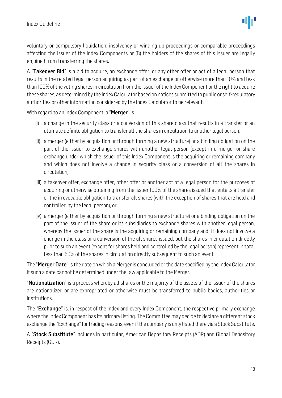voluntary or compulsory liquidation, insolvency or winding-up proceedings or comparable proceedings affecting the issuer of the Index Components or (B) the holders of the shares of this issuer are legally enjoined from transferring the shares.

A "Takeover Bid" is a bid to acquire, an exchange offer, or any other offer or act of a legal person that results in the related legal person acquiring as part of an exchange or otherwise more than 10% and less than 100% of the voting shares in circulation from the issuer of the Index Component or the right to acquire these shares, as determined by the Index Calculator based on notices submitted to public or self-regulatory authorities or other information considered by the Index Calculator to be relevant.

With regard to an Index Component, a "Merger" is

- (i) a change in the security class or a conversion of this share class that results in a transfer or an ultimate definite obligation to transfer all the shares in circulation to another legal person,
- (ii) a merger (either by acquisition or through forming a new structure) or a binding obligation on the part of the issuer to exchange shares with another legal person (except in a merger or share exchange under which the issuer of this Index Component is the acquiring or remaining company and which does not involve a change in security class or a conversion of all the shares in circulation),
- (iii) a takeover offer, exchange offer, other offer or another act of a legal person for the purposes of acquiring or otherwise obtaining from the issuer 100% of the shares issued that entails a transfer or the irrevocable obligation to transfer all shares (with the exception of shares that are held and controlled by the legal person), or
- (iv) a merger (either by acquisition or through forming a new structure) or a binding obligation on the part of the issuer of the share or its subsidiaries to exchange shares with another legal person, whereby the issuer of the share is the acquiring or remaining company and it does not involve a change in the class or a conversion of the all shares issued, but the shares in circulation directly prior to such an event (except for shares held and controlled by the legal person) represent in total less than 50% of the shares in circulation directly subsequent to such an event.

The "Merger Date" is the date on which a Merger is concluded or the date specified by the Index Calculator if such a date cannot be determined under the law applicable to the Merger.

"**Nationalization**" is a process whereby all shares or the majority of the assets of the issuer of the shares are nationalized or are expropriated or otherwise must be transferred to public bodies, authorities or institutions.

The "Exchange" is, in respect of the Index and every Index Component, the respective primary exchange where the Index Component has its primary listing. The Committee may decide to declare a different stock exchange the "Exchange" for trading reasons, even if the company is only listed there via a Stock Substitute.

A "Stock Substitute" includes in particular, American Depository Receipts (ADR) and Global Depository Receipts (GDR).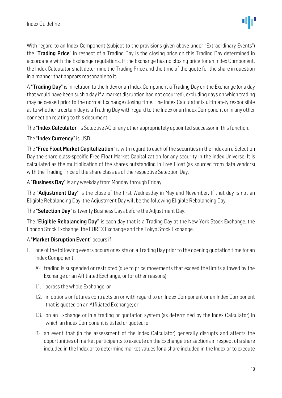With regard to an Index Component (subject to the provisions given above under "Extraordinary Events") the "Trading Price" in respect of a Trading Day is the closing price on this Trading Day determined in accordance with the Exchange regulations. If the Exchange has no closing price for an Index Component, the Index Calculator shall determine the Trading Price and the time of the quote for the share in question in a manner that appears reasonable to it.

A "**Trading Day**" is in relation to the Index or an Index Component a Trading Day on the Exchange (or a day that would have been such a day if a market disruption had not occurred), excluding days on which trading may be ceased prior to the normal Exchange closing time. The Index Calculator is ultimately responsible as to whether a certain day is a Trading Day with regard to the Index or an Index Component or in any other connection relating to this document.

The "Index Calculator" is Solactive AG or any other appropriately appointed successor in this function.

The "Index Currency" is USD.

The "Free Float Market Capitalization" is with regard to each of the securities in the Index on a Selection Day the share class-specific Free Float Market Capitalization for any security in the Index Universe. It is calculated as the multiplication of the shares outstanding in Free Float (as sourced from data vendors) with the Trading Price of the share class as of the respective Selection Day.

A "Business Day" is any weekday from Monday through Friday.

The "Adjustment Day" is the close of the first Wednesday in May and November. If that day is not an Eligible Rebalancing Day, the Adjustment Day will be the following Eligible Rebalancing Day.

The "Selection Day" is twenty Business Days before the Adjustment Day.

The "Eligible Rebalancing Day" is each day that is a Trading Day at the New York Stock Exchange, the London Stock Exchange, the EUREX Exchange and the Tokyo Stock Exchange.

#### A "Market Disruption Event" occurs if

- 1. one of the following events occurs or exists on a Trading Day prior to the opening quotation time for an Index Component:
	- A) trading is suspended or restricted (due to price movements that exceed the limits allowed by the Exchange or an Affiliated Exchange, or for other reasons):
	- 1.1. across the whole Exchange; or
	- 1.2. in options or futures contracts on or with regard to an Index Component or an Index Component that is quoted on an Affiliated Exchange; or
	- 1.3. on an Exchange or in a trading or quotation system (as determined by the Index Calculator) in which an Index Component is listed or quoted; or
	- B) an event that (in the assessment of the Index Calculator) generally disrupts and affects the opportunities of market participants to execute on the Exchange transactions in respect of a share included in the Index or to determine market values for a share included in the Index or to execute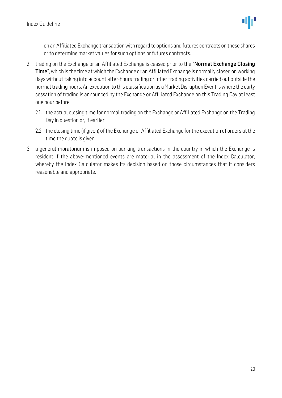on an Affiliated Exchange transaction with regard to options and futures contracts on these shares or to determine market values for such options or futures contracts.

- 2. trading on the Exchange or an Affiliated Exchange is ceased prior to the "**Normal Exchange Closing** Time", which is the time at which the Exchange or an Affiliated Exchange is normally closed on working days without taking into account after-hours trading or other trading activities carried out outside the normal trading hours. An exception to this classification as a Market Disruption Event is where the early cessation of trading is announced by the Exchange or Affiliated Exchange on this Trading Day at least one hour before
	- 2.1. the actual closing time for normal trading on the Exchange or Affiliated Exchange on the Trading Day in question or, if earlier.
	- 2.2. the closing time (if given) of the Exchange or Affiliated Exchange for the execution of orders at the time the quote is given.
- 3. a general moratorium is imposed on banking transactions in the country in which the Exchange is resident if the above-mentioned events are material in the assessment of the Index Calculator, whereby the Index Calculator makes its decision based on those circumstances that it considers reasonable and appropriate.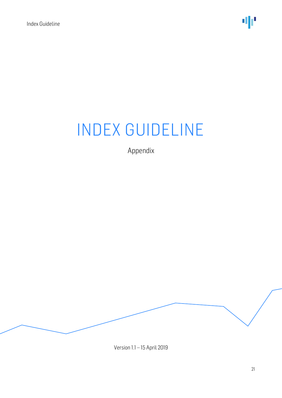Appendix